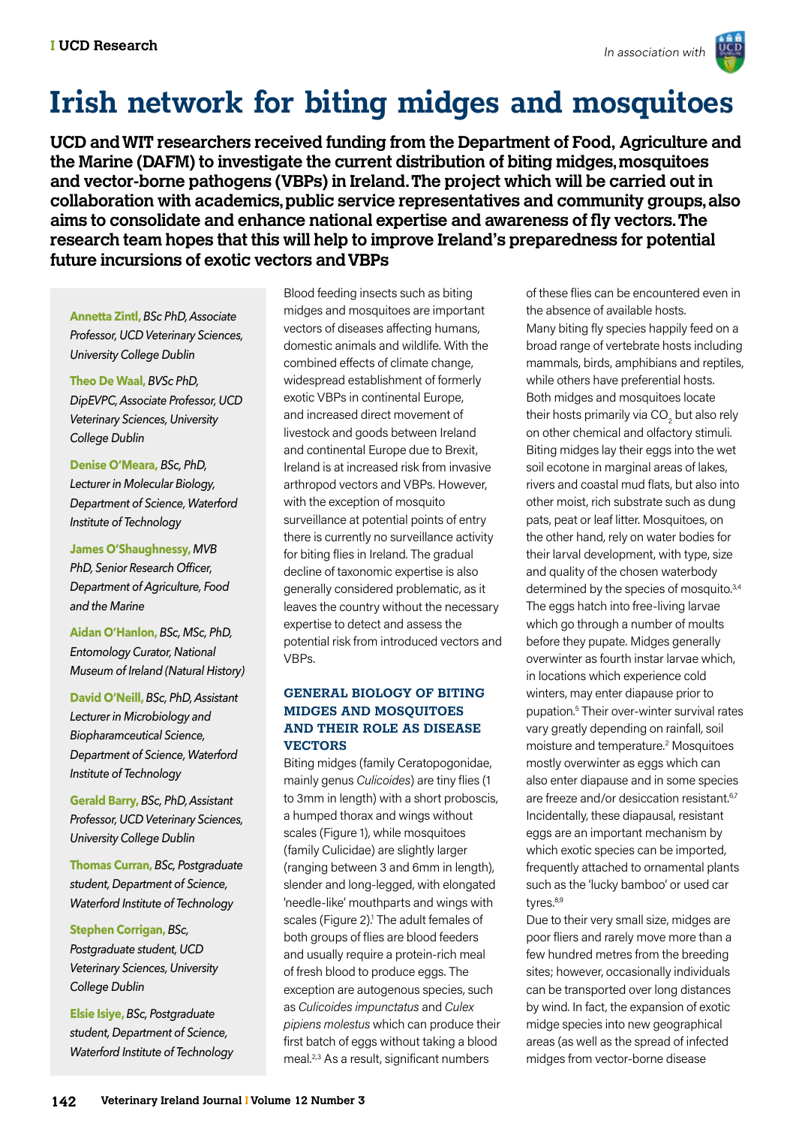

### **Irish network for biting midges and mosquitoes**

**UCD and WIT researchers received funding from the Department of Food, Agriculture and the Marine (DAFM) to investigate the current distribution of biting midges, mosquitoes and vector-borne pathogens (VBPs) in Ireland. The project which will be carried out in collaboration with academics, public service representatives and community groups, also aims to consolidate and enhance national expertise and awareness of fly vectors. The research team hopes that this will help to improve Ireland's preparedness for potential future incursions of exotic vectors and VBPs**

**Annetta Zintl,** *BSc PhD, Associate Professor, UCD Veterinary Sciences, University College Dublin*

**Theo De Waal,** *BVSc PhD, DipEVPC, Associate Professor, UCD Veterinary Sciences, University College Dublin*

**Denise O'Meara,** *BSc, PhD, Lecturer in Molecular Biology, Department of Science, Waterford Institute of Technology*

**James O'Shaughnessy,** *MVB PhD, Senior Research Officer, Department of Agriculture, Food and the Marine*

**Aidan O'Hanlon,** *BSc, MSc, PhD, Entomology Curator, National Museum of Ireland (Natural History)*

**David O'Neill,** *BSc, PhD, Assistant Lecturer in Microbiology and Biopharamceutical Science, Department of Science, Waterford Institute of Technology*

**Gerald Barry,** *BSc, PhD, Assistant Professor, UCD Veterinary Sciences, University College Dublin*

**Thomas Curran,** *BSc, Postgraduate student, Department of Science, Waterford Institute of Technology*

**Stephen Corrigan,** *BSc, Postgraduate student, UCD Veterinary Sciences, University College Dublin*

**Elsie Isiye,** *BSc, Postgraduate student, Department of Science, Waterford Institute of Technology* Blood feeding insects such as biting midges and mosquitoes are important vectors of diseases affecting humans, domestic animals and wildlife. With the combined effects of climate change, widespread establishment of formerly exotic VBPs in continental Europe, and increased direct movement of livestock and goods between Ireland and continental Europe due to Brexit, Ireland is at increased risk from invasive arthropod vectors and VBPs. However, with the exception of mosquito surveillance at potential points of entry there is currently no surveillance activity for biting flies in Ireland. The gradual decline of taxonomic expertise is also generally considered problematic, as it leaves the country without the necessary expertise to detect and assess the potential risk from introduced vectors and VBPs.

### **GENERAL BIOLOGY OF BITING MIDGES AND MOSQUITOES AND THEIR ROLE AS DISEASE VECTORS**

Biting midges (family Ceratopogonidae, mainly genus *Culicoides*) are tiny flies (1 to 3mm in length) with a short proboscis, a humped thorax and wings without scales (Figure 1), while mosquitoes (family Culicidae) are slightly larger (ranging between 3 and 6mm in length), slender and long-legged, with elongated 'needle-like' mouthparts and wings with scales (Figure 2).<sup>1</sup> The adult females of both groups of flies are blood feeders and usually require a protein-rich meal of fresh blood to produce eggs. The exception are autogenous species, such as *Culicoides impunctatus* and *Culex pipiens molestus* which can produce their first batch of eggs without taking a blood meal.<sup>2,3</sup> As a result, significant numbers

of these flies can be encountered even in the absence of available hosts. Many biting fly species happily feed on a broad range of vertebrate hosts including mammals, birds, amphibians and reptiles, while others have preferential hosts. Both midges and mosquitoes locate their hosts primarily via CO $_{\rm 2}$  but also rely on other chemical and olfactory stimuli. Biting midges lay their eggs into the wet soil ecotone in marginal areas of lakes, rivers and coastal mud flats, but also into other moist, rich substrate such as dung pats, peat or leaf litter. Mosquitoes, on the other hand, rely on water bodies for their larval development, with type, size and quality of the chosen waterbody determined by the species of mosquito.<sup>3,4</sup> The eggs hatch into free-living larvae which go through a number of moults before they pupate. Midges generally overwinter as fourth instar larvae which, in locations which experience cold winters, may enter diapause prior to pupation.5 Their over-winter survival rates vary greatly depending on rainfall, soil moisture and temperature.2 Mosquitoes mostly overwinter as eggs which can also enter diapause and in some species are freeze and/or desiccation resistant.<sup>6,7</sup> Incidentally, these diapausal, resistant eggs are an important mechanism by which exotic species can be imported, frequently attached to ornamental plants such as the 'lucky bamboo' or used car tyres.<sup>8,9</sup>

Due to their very small size, midges are poor fliers and rarely move more than a few hundred metres from the breeding sites; however, occasionally individuals can be transported over long distances by wind. In fact, the expansion of exotic midge species into new geographical areas (as well as the spread of infected midges from vector-borne disease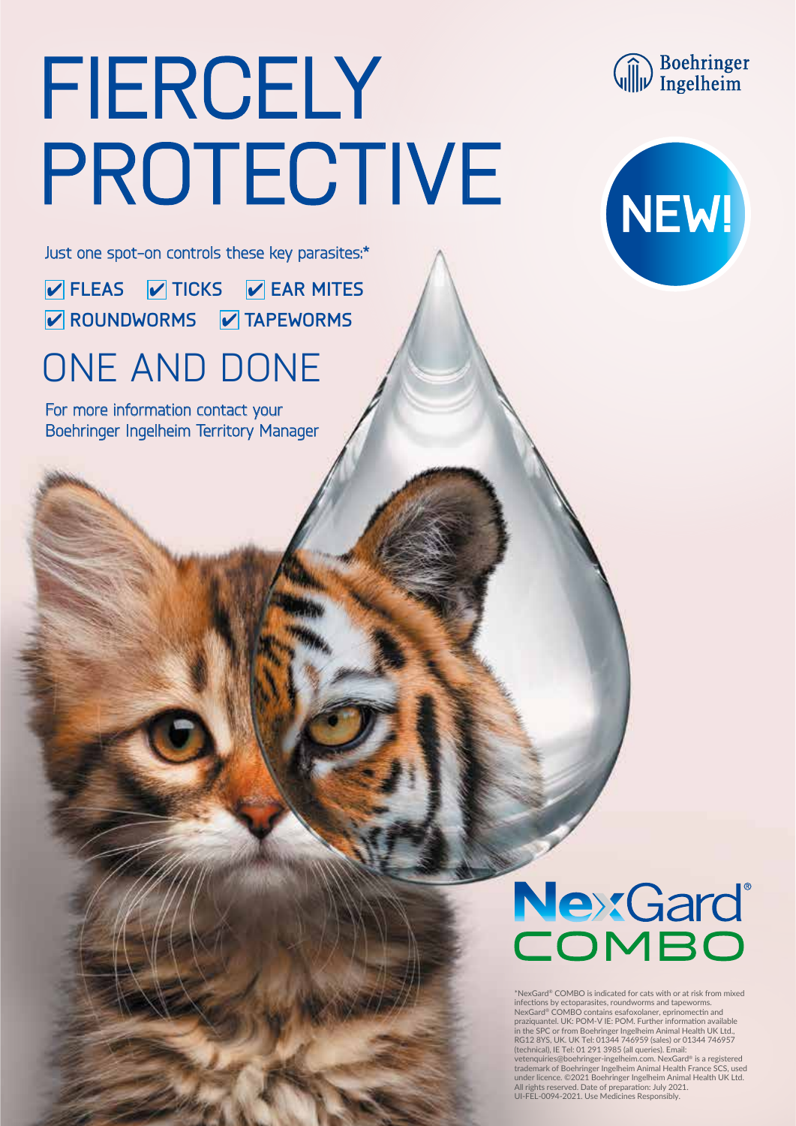## FIERCELY PROTECTIVE

**Communism**<br> **Communism**<br> **Communism**<br> **Communism** 



Just one spot-on controls these key parasites:\*

**FLEAS V** TICKS **V** EAR MITES **Z** ROUNDWORMS **Z** TAPEWORMS

### ONE AND DONE

For more information contact your Boehringer Ingelheim Territory Manager

# NexGard®

\*NexGard® COMBO is indicated for cats with or at risk from mixed infections by ectoparasites, roundworms and tapeworms. NexGard® COMBO contains esafoxolaner, eprinomectin and<br>praziquantel. UK: POM-V IE: POM. Further information available<br>in the SPC or from Boehringer Ingelheim Animal Health UK Ltd.,<br>RG12 8YS, UK. UK Tel: 01344 746959 (sales (technical), IE Tel: 01 291 3985 (all queries). Email: vetenquiries@boehringer-ingelheim.com. NexGard® is a registered trademark of Boehringer Ingelheim Animal Health France SCS, used under licence. ©2021 Boehringer Ingelheim Animal Health UK Ltd. All rights reserved. Date of preparation: July 2021. UI-FEL-0094-2021. Use Medicines Responsibly.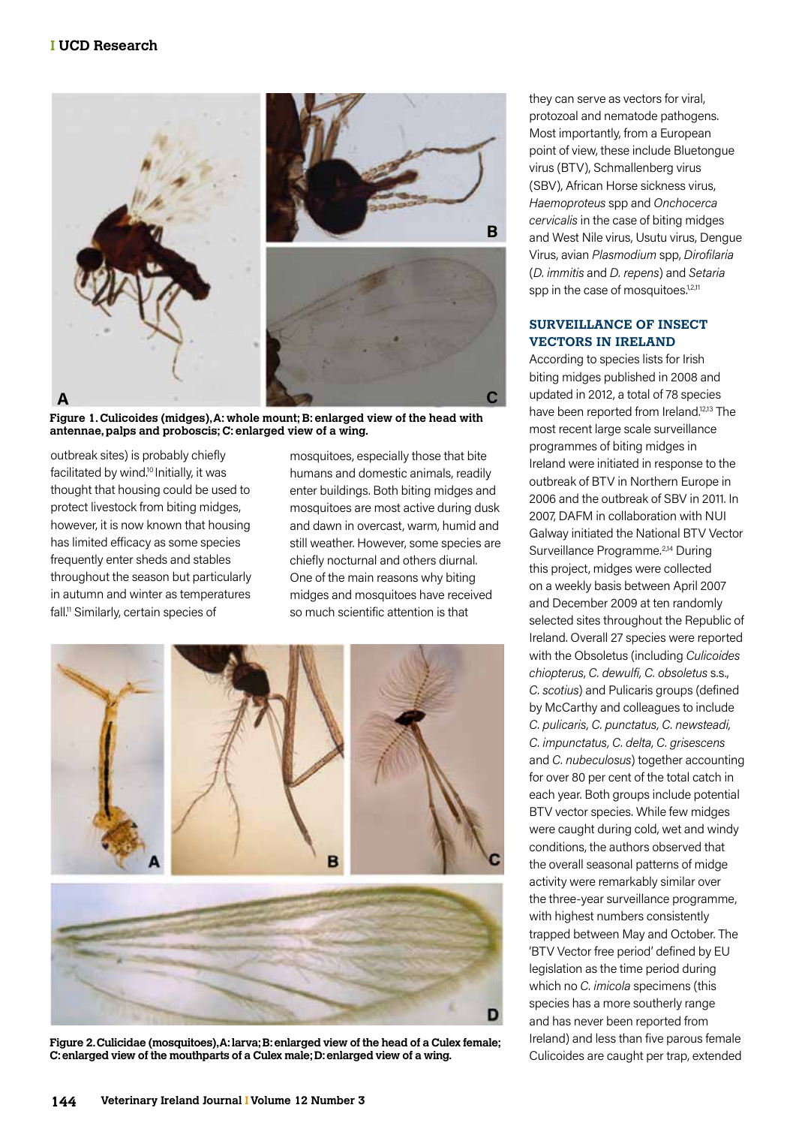

**Figure 1. Culicoides (midges), A: whole mount; B: enlarged view of the head with antennae, palps and proboscis; C: enlarged view of a wing.**

outbreak sites) is probably chiefly facilitated by wind.10 Initially, it was thought that housing could be used to protect livestock from biting midges, however, it is now known that housing has limited efficacy as some species frequently enter sheds and stables throughout the season but particularly in autumn and winter as temperatures fall.<sup>11</sup> Similarly, certain species of

mosquitoes, especially those that bite humans and domestic animals, readily enter buildings. Both biting midges and mosquitoes are most active during dusk and dawn in overcast, warm, humid and still weather. However, some species are chiefly nocturnal and others diurnal. One of the main reasons why biting midges and mosquitoes have received so much scientific attention is that

n



**Figure 2. Culicidae (mosquitoes), A: larva; B: enlarged view of the head of a Culex female; C: enlarged view of the mouthparts of a Culex male; D: enlarged view of a wing.**

they can serve as vectors for viral, protozoal and nematode pathogens. Most importantly, from a European point of view, these include Bluetongue virus (BTV), Schmallenberg virus (SBV), African Horse sickness virus, *Haemoproteus* spp and *Onchocerca cervicalis* in the case of biting midges and West Nile virus, Usutu virus, Dengue Virus, avian *Plasmodium* spp, *Dirofilaria* (*D. immitis* and *D. repens*) and *Setaria* spp in the case of mosquitoes.<sup>1,2,11</sup>

#### **SURVEILLANCE OF INSECT VECTORS IN IRELAND**

According to species lists for Irish biting midges published in 2008 and updated in 2012, a total of 78 species have been reported from Ireland.<sup>12,13</sup> The most recent large scale surveillance programmes of biting midges in Ireland were initiated in response to the outbreak of BTV in Northern Europe in 2006 and the outbreak of SBV in 2011. In 2007, DAFM in collaboration with NUI Galway initiated the National BTV Vector Surveillance Programme.<sup>2,14</sup> During this project, midges were collected on a weekly basis between April 2007 and December 2009 at ten randomly selected sites throughout the Republic of Ireland. Overall 27 species were reported with the Obsoletus (including *Culicoides chiopterus*, *C. dewulfi, C. obsoletus* s.s., *C. scotius*) and Pulicaris groups (defined by McCarthy and colleagues to include *C. pulicaris, C. punctatus, C. newsteadi, C. impunctatus, C. delta, C. grisescens*  and *C. nubeculosus*) together accounting for over 80 per cent of the total catch in each year. Both groups include potential BTV vector species. While few midges were caught during cold, wet and windy conditions, the authors observed that the overall seasonal patterns of midge activity were remarkably similar over the three-year surveillance programme, with highest numbers consistently trapped between May and October. The 'BTV Vector free period' defined by EU legislation as the time period during which no *C. imicola* specimens (this species has a more southerly range and has never been reported from Ireland) and less than five parous female Culicoides are caught per trap, extended